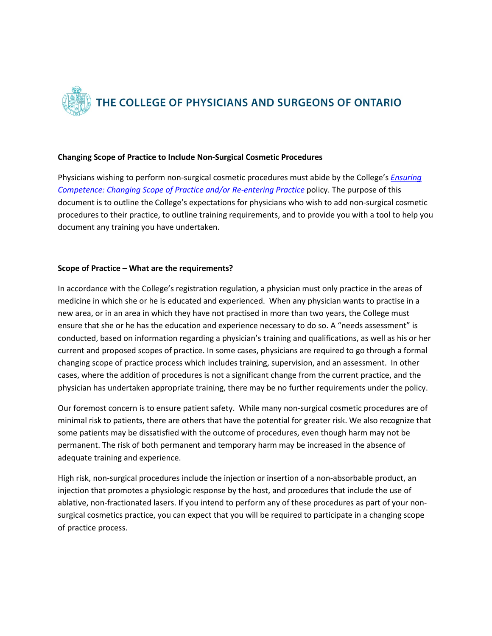

## **Changing Scope of Practice to Include Non-Surgical Cosmetic Procedures**

Physicians wishing to perform non-surgical cosmetic procedures must abide by the College's *[Ensuring](https://www.cpso.on.ca/CPSO/media/documents/Policies/Policy-Items/Ensuring-Competence.pdf?ext=.pdf)  [Competence: Changing Scope of Practice and/or Re-entering Practice](https://www.cpso.on.ca/CPSO/media/documents/Policies/Policy-Items/Ensuring-Competence.pdf?ext=.pdf)* policy. The purpose of this document is to outline the College's expectations for physicians who wish to add non-surgical cosmetic procedures to their practice, to outline training requirements, and to provide you with a tool to help you document any training you have undertaken.

## **Scope of Practice – What are the requirements?**

In accordance with the College's registration regulation, a physician must only practice in the areas of medicine in which she or he is educated and experienced. When any physician wants to practise in a new area, or in an area in which they have not practised in more than two years, the College must ensure that she or he has the education and experience necessary to do so. A "needs assessment" is conducted, based on information regarding a physician's training and qualifications, as well as his or her current and proposed scopes of practice. In some cases, physicians are required to go through a formal changing scope of practice process which includes training, supervision, and an assessment. In other cases, where the addition of procedures is not a significant change from the current practice, and the physician has undertaken appropriate training, there may be no further requirements under the policy.

Our foremost concern is to ensure patient safety. While many non-surgical cosmetic procedures are of minimal risk to patients, there are others that have the potential for greater risk. We also recognize that some patients may be dissatisfied with the outcome of procedures, even though harm may not be permanent. The risk of both permanent and temporary harm may be increased in the absence of adequate training and experience.

High risk, non-surgical procedures include the injection or insertion of a non-absorbable product, an injection that promotes a physiologic response by the host, and procedures that include the use of ablative, non-fractionated lasers. If you intend to perform any of these procedures as part of your nonsurgical cosmetics practice, you can expect that you will be required to participate in a changing scope of practice process.